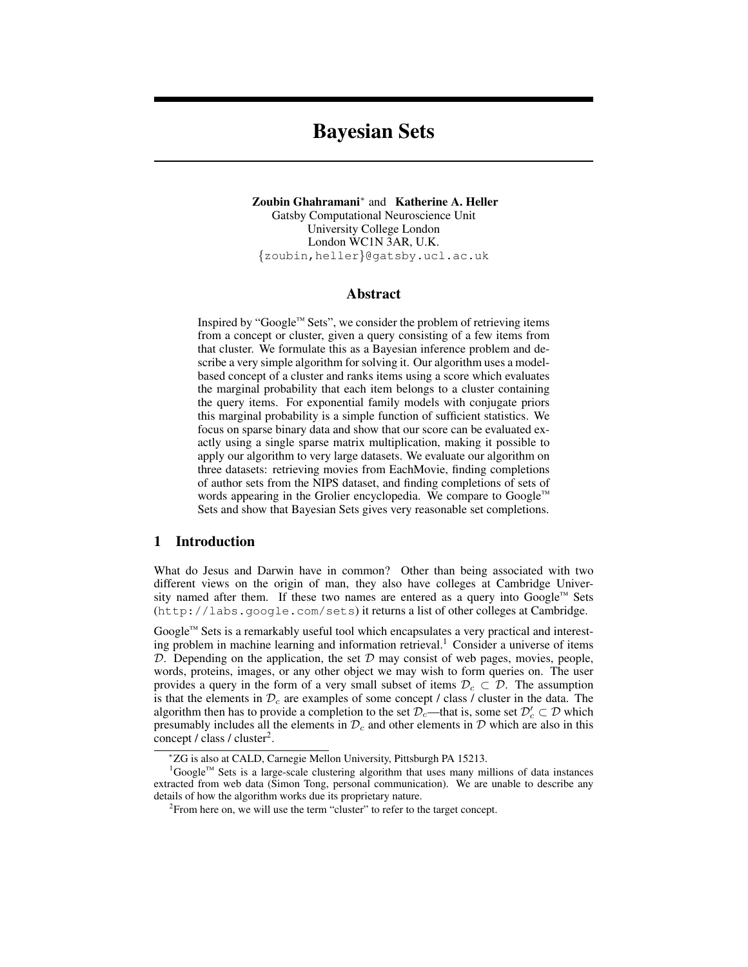# Bayesian Sets

Zoubin Ghahramani<sup>∗</sup> and Katherine A. Heller Gatsby Computational Neuroscience Unit University College London London WC1N 3AR, U.K. {zoubin,heller}@gatsby.ucl.ac.uk

# Abstract

Inspired by "Google™ Sets", we consider the problem of retrieving items from a concept or cluster, given a query consisting of a few items from that cluster. We formulate this as a Bayesian inference problem and describe a very simple algorithm for solving it. Our algorithm uses a modelbased concept of a cluster and ranks items using a score which evaluates the marginal probability that each item belongs to a cluster containing the query items. For exponential family models with conjugate priors this marginal probability is a simple function of sufficient statistics. We focus on sparse binary data and show that our score can be evaluated exactly using a single sparse matrix multiplication, making it possible to apply our algorithm to very large datasets. We evaluate our algorithm on three datasets: retrieving movies from EachMovie, finding completions of author sets from the NIPS dataset, and finding completions of sets of words appearing in the Grolier encyclopedia. We compare to Google™ Sets and show that Bayesian Sets gives very reasonable set completions.

# 1 Introduction

What do Jesus and Darwin have in common? Other than being associated with two different views on the origin of man, they also have colleges at Cambridge University named after them. If these two names are entered as a query into Google™ Sets (http://labs.google.com/sets) it returns a list of other colleges at Cambridge.

Google™ Sets is a remarkably useful tool which encapsulates a very practical and interesting problem in machine learning and information retrieval.<sup>1</sup> Consider a universe of items  $D$ . Depending on the application, the set  $D$  may consist of web pages, movies, people, words, proteins, images, or any other object we may wish to form queries on. The user provides a query in the form of a very small subset of items  $\mathcal{D}_c \subset \mathcal{D}$ . The assumption is that the elements in  $\mathcal{D}_c$  are examples of some concept / class / cluster in the data. The algorithm then has to provide a completion to the set  $\mathcal{D}_c$ —that is, some set  $\mathcal{D}_c' \subset \mathcal{D}$  which presumably includes all the elements in  $\mathcal{D}_c$  and other elements in  $\mathcal D$  which are also in this concept / class / cluster<sup>2</sup>.

<sup>∗</sup>ZG is also at CALD, Carnegie Mellon University, Pittsburgh PA 15213.

<sup>&</sup>lt;sup>1</sup>Google™ Sets is a large-scale clustering algorithm that uses many millions of data instances extracted from web data (Simon Tong, personal communication). We are unable to describe any details of how the algorithm works due its proprietary nature.

 $2$ From here on, we will use the term "cluster" to refer to the target concept.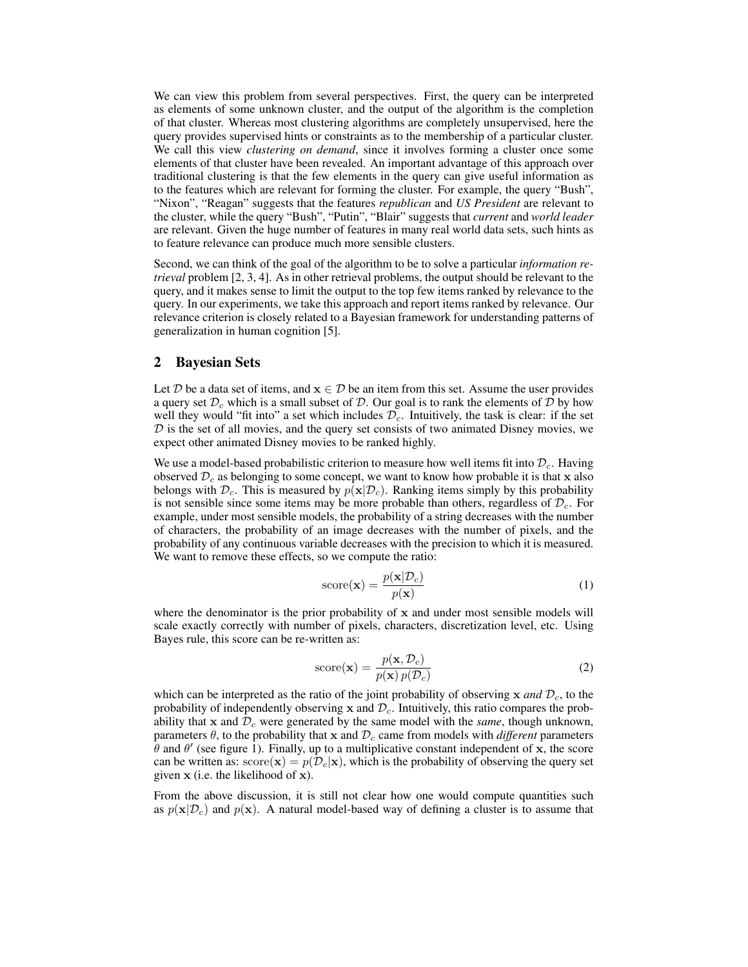We can view this problem from several perspectives. First, the query can be interpreted as elements of some unknown cluster, and the output of the algorithm is the completion of that cluster. Whereas most clustering algorithms are completely unsupervised, here the query provides supervised hints or constraints as to the membership of a particular cluster. We call this view *clustering on demand*, since it involves forming a cluster once some elements of that cluster have been revealed. An important advantage of this approach over traditional clustering is that the few elements in the query can give useful information as to the features which are relevant for forming the cluster. For example, the query "Bush", "Nixon", "Reagan" suggests that the features *republican* and *US President* are relevant to the cluster, while the query "Bush", "Putin", "Blair" suggests that *current* and *world leader* are relevant. Given the huge number of features in many real world data sets, such hints as to feature relevance can produce much more sensible clusters.

Second, we can think of the goal of the algorithm to be to solve a particular *information retrieval* problem [2, 3, 4]. As in other retrieval problems, the output should be relevant to the query, and it makes sense to limit the output to the top few items ranked by relevance to the query. In our experiments, we take this approach and report items ranked by relevance. Our relevance criterion is closely related to a Bayesian framework for understanding patterns of generalization in human cognition [5].

## 2 Bayesian Sets

Let D be a data set of items, and  $x \in D$  be an item from this set. Assume the user provides a query set  $\mathcal{D}_c$  which is a small subset of  $\mathcal{D}$ . Our goal is to rank the elements of  $\mathcal{D}$  by how well they would "fit into" a set which includes  $\mathcal{D}_c$ . Intuitively, the task is clear: if the set  $D$  is the set of all movies, and the query set consists of two animated Disney movies, we expect other animated Disney movies to be ranked highly.

We use a model-based probabilistic criterion to measure how well items fit into  $\mathcal{D}_c$ . Having observed  $\mathcal{D}_c$  as belonging to some concept, we want to know how probable it is that x also belongs with  $\mathcal{D}_c$ . This is measured by  $p(\mathbf{x}|\mathcal{D}_c)$ . Ranking items simply by this probability is not sensible since some items may be more probable than others, regardless of  $\mathcal{D}_c$ . For example, under most sensible models, the probability of a string decreases with the number of characters, the probability of an image decreases with the number of pixels, and the probability of any continuous variable decreases with the precision to which it is measured. We want to remove these effects, so we compute the ratio:

$$
score(\mathbf{x}) = \frac{p(\mathbf{x}|\mathcal{D}_c)}{p(\mathbf{x})}
$$
(1)

where the denominator is the prior probability of  $x$  and under most sensible models will scale exactly correctly with number of pixels, characters, discretization level, etc. Using Bayes rule, this score can be re-written as:

$$
score(\mathbf{x}) = \frac{p(\mathbf{x}, \mathcal{D}_c)}{p(\mathbf{x}) p(\mathcal{D}_c)}
$$
(2)

which can be interpreted as the ratio of the joint probability of observing  $x$  *and*  $\mathcal{D}_c$ , to the probability of independently observing x and  $\mathcal{D}_c$ . Intuitively, this ratio compares the probability that x and  $\mathcal{D}_c$  were generated by the same model with the *same*, though unknown, parameters  $\theta$ , to the probability that x and  $\mathcal{D}_c$  came from models with *different* parameters  $\hat{\theta}$  and  $\theta'$  (see figure 1). Finally, up to a multiplicative constant independent of x, the score can be written as:  $score(\mathbf{x}) = p(\mathcal{D}_c|\mathbf{x})$ , which is the probability of observing the query set given x (i.e. the likelihood of x).

From the above discussion, it is still not clear how one would compute quantities such as  $p(x|D<sub>c</sub>)$  and  $p(x)$ . A natural model-based way of defining a cluster is to assume that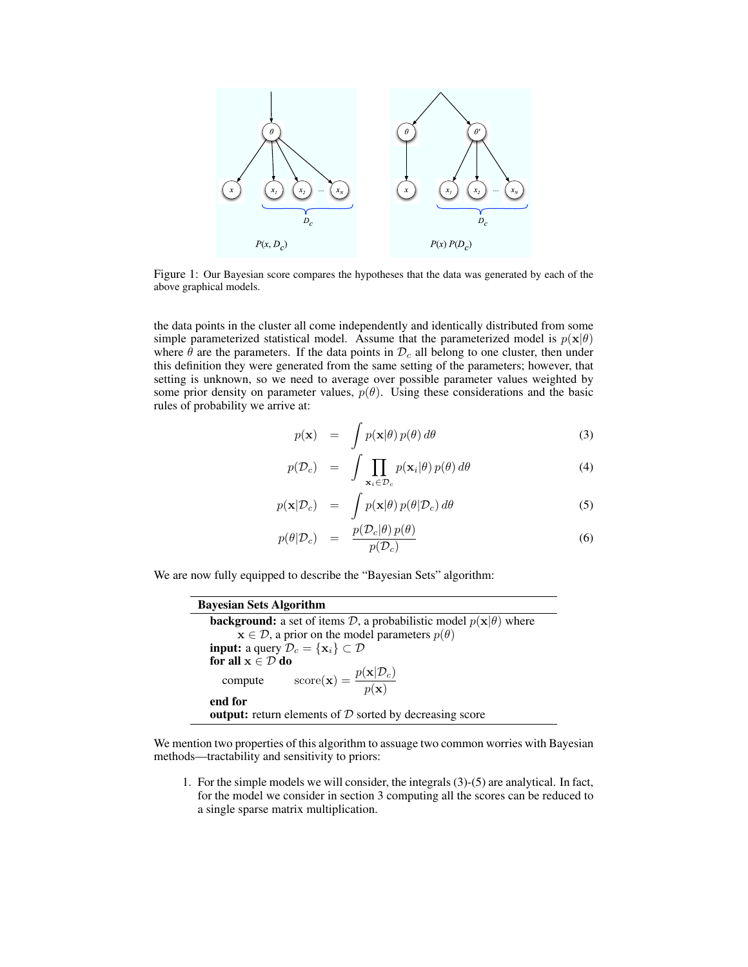

Figure 1: Our Bayesian score compares the hypotheses that the data was generated by each of the above graphical models.

the data points in the cluster all come independently and identically distributed from some simple parameterized statistical model. Assume that the parameterized model is  $p(x|\theta)$ where  $\hat{\theta}$  are the parameters. If the data points in  $\mathcal{D}_c$  all belong to one cluster, then under this definition they were generated from the same setting of the parameters; however, that setting is unknown, so we need to average over possible parameter values weighted by some prior density on parameter values,  $p(\theta)$ . Using these considerations and the basic rules of probability we arrive at:

$$
p(\mathbf{x}) = \int p(\mathbf{x}|\theta) p(\theta) d\theta
$$
 (3)

$$
p(\mathcal{D}_c) = \int \prod_{\mathbf{x}_i \in \mathcal{D}_c} p(\mathbf{x}_i | \theta) p(\theta) d\theta \tag{4}
$$

$$
p(\mathbf{x}|\mathcal{D}_c) = \int p(\mathbf{x}|\theta) \, p(\theta|\mathcal{D}_c) \, d\theta \tag{5}
$$

$$
p(\theta|\mathcal{D}_c) = \frac{p(\mathcal{D}_c|\theta) p(\theta)}{p(\mathcal{D}_c)}
$$
\n(6)

We are now fully equipped to describe the "Bayesian Sets" algorithm:

| <b>Bayesian Sets Algorithm</b>                                                            |
|-------------------------------------------------------------------------------------------|
| <b>background:</b> a set of items D, a probabilistic model $p(\mathbf{x} \theta)$ where   |
| $\mathbf{x} \in \mathcal{D}$ , a prior on the model parameters $p(\theta)$                |
| <b>input:</b> a query $\mathcal{D}_c = {\mathbf{x}_i} \subset \mathcal{D}$                |
| for all $x \in \mathcal{D}$ do                                                            |
| $\text{score}(\mathbf{x}) = \frac{p(\mathbf{x} \mathcal{D}_c)}{p(\mathbf{x})}$<br>compute |
| end for                                                                                   |
| <b>output:</b> return elements of $D$ sorted by decreasing score                          |

We mention two properties of this algorithm to assuage two common worries with Bayesian methods—tractability and sensitivity to priors:

1. For the simple models we will consider, the integrals (3)-(5) are analytical. In fact, for the model we consider in section 3 computing all the scores can be reduced to a single sparse matrix multiplication.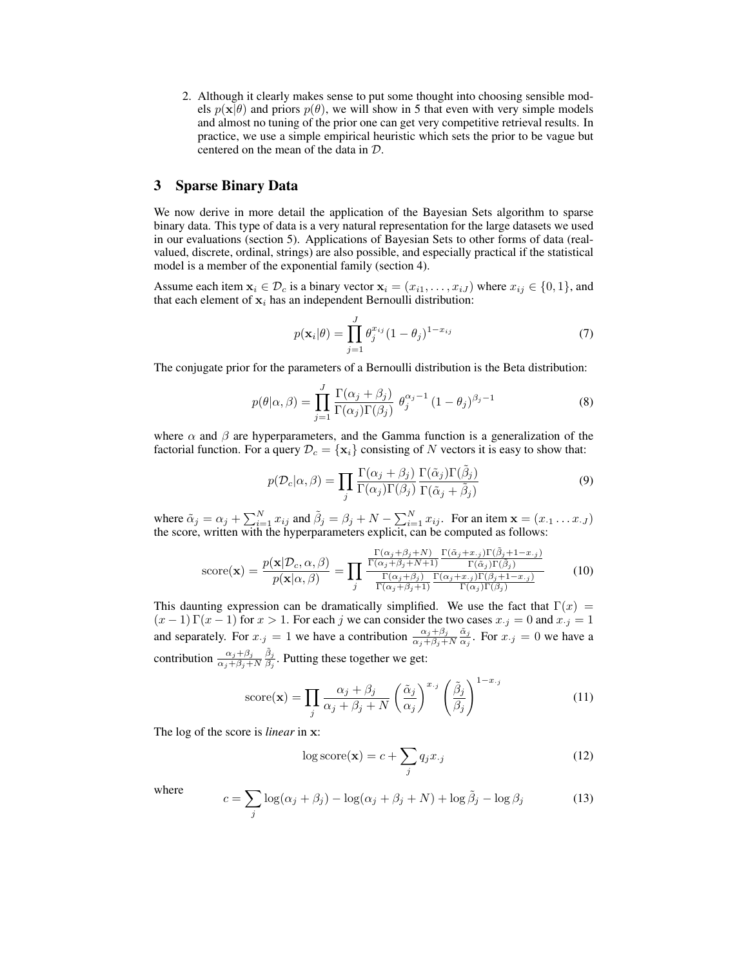2. Although it clearly makes sense to put some thought into choosing sensible models  $p(x|\theta)$  and priors  $p(\theta)$ , we will show in 5 that even with very simple models and almost no tuning of the prior one can get very competitive retrieval results. In practice, we use a simple empirical heuristic which sets the prior to be vague but centered on the mean of the data in D.

# 3 Sparse Binary Data

We now derive in more detail the application of the Bayesian Sets algorithm to sparse binary data. This type of data is a very natural representation for the large datasets we used in our evaluations (section 5). Applications of Bayesian Sets to other forms of data (realvalued, discrete, ordinal, strings) are also possible, and especially practical if the statistical model is a member of the exponential family (section 4).

Assume each item  $x_i \in \mathcal{D}_c$  is a binary vector  $x_i = (x_{i1}, \dots, x_{iJ})$  where  $x_{ij} \in \{0, 1\}$ , and that each element of  $x_i$  has an independent Bernoulli distribution:

$$
p(\mathbf{x}_i|\theta) = \prod_{j=1}^J \theta_j^{x_{ij}} (1 - \theta_j)^{1 - x_{ij}}
$$
(7)

The conjugate prior for the parameters of a Bernoulli distribution is the Beta distribution:

$$
p(\theta|\alpha,\beta) = \prod_{j=1}^{J} \frac{\Gamma(\alpha_j + \beta_j)}{\Gamma(\alpha_j)\Gamma(\beta_j)} \theta_j^{\alpha_j - 1} (1 - \theta_j)^{\beta_j - 1}
$$
(8)

where  $\alpha$  and  $\beta$  are hyperparameters, and the Gamma function is a generalization of the factorial function. For a query  $\mathcal{D}_c = {\mathbf{x}_i}$  consisting of N vectors it is easy to show that:

$$
p(\mathcal{D}_c|\alpha,\beta) = \prod_j \frac{\Gamma(\alpha_j + \beta_j)}{\Gamma(\alpha_j)\Gamma(\beta_j)} \frac{\Gamma(\tilde{\alpha}_j)\Gamma(\tilde{\beta}_j)}{\Gamma(\tilde{\alpha}_j + \tilde{\beta}_j)}
$$
(9)

where  $\tilde{\alpha}_j = \alpha_j + \sum_{i=1}^N x_{ij}$  and  $\tilde{\beta}_j = \beta_j + N - \sum_{i=1}^N x_{ij}$ . For an item  $\mathbf{x} = (x_{\cdot 1} \dots x_{\cdot J})$ the score, written with the hyperparameters explicit, can be computed as follows:

score(**x**) = 
$$
\frac{p(\mathbf{x}|\mathcal{D}_{c}, \alpha, \beta)}{p(\mathbf{x}|\alpha, \beta)} = \prod_{j} \frac{\frac{\Gamma(\alpha_{j}+\beta_{j}+N)}{\Gamma(\alpha_{j}+\beta_{j}+N+1)} \frac{\Gamma(\tilde{\alpha}_{j}+x_{.j})\Gamma(\tilde{\beta}_{j}+1-x_{.j})}{\Gamma(\tilde{\alpha}_{j})\Gamma(\tilde{\beta}_{j})}}{\frac{\Gamma(\alpha_{j}+\beta_{j})}{\Gamma(\alpha_{j}+\beta_{j}+1)} \frac{\Gamma(\alpha_{j}+x_{.j})\Gamma(\beta_{j}+1-x_{.j})}{\Gamma(\alpha_{j})\Gamma(\beta_{j})}}
$$
(10)

This daunting expression can be dramatically simplified. We use the fact that  $\Gamma(x)$  =  $(x - 1) \Gamma(x - 1)$  for  $x > 1$ . For each j we can consider the two cases  $x_{\cdot j} = 0$  and  $x_{\cdot j} = 1$ and separately. For  $x_{\cdot j} = 1$  we have a contribution  $\frac{\alpha_j + \beta_j}{\alpha_j + \beta_j + N}$  $\tilde{\alpha}_j$  $\frac{\alpha_j}{\alpha_j}$ . For  $x_{\cdot j} = 0$  we have a contribution  $\frac{\alpha_j+\beta_j}{\alpha_j+\beta_j+N}$  $\tilde{\beta}_j$  $\frac{\beta_j}{\beta_j}$ . Putting these together we get:

score(**x**) = 
$$
\prod_{j} \frac{\alpha_j + \beta_j}{\alpha_j + \beta_j + N} \left(\frac{\tilde{\alpha}_j}{\alpha_j}\right)^{x_j} \left(\frac{\tilde{\beta}_j}{\beta_j}\right)^{1-x_{\cdot j}}
$$
(11)

The log of the score is *linear* in x:

$$
\log \text{score}(\mathbf{x}) = c + \sum_{j} q_j x_{\cdot j} \tag{12}
$$

where

$$
c = \sum_{j} \log(\alpha_j + \beta_j) - \log(\alpha_j + \beta_j + N) + \log \tilde{\beta}_j - \log \beta_j \tag{13}
$$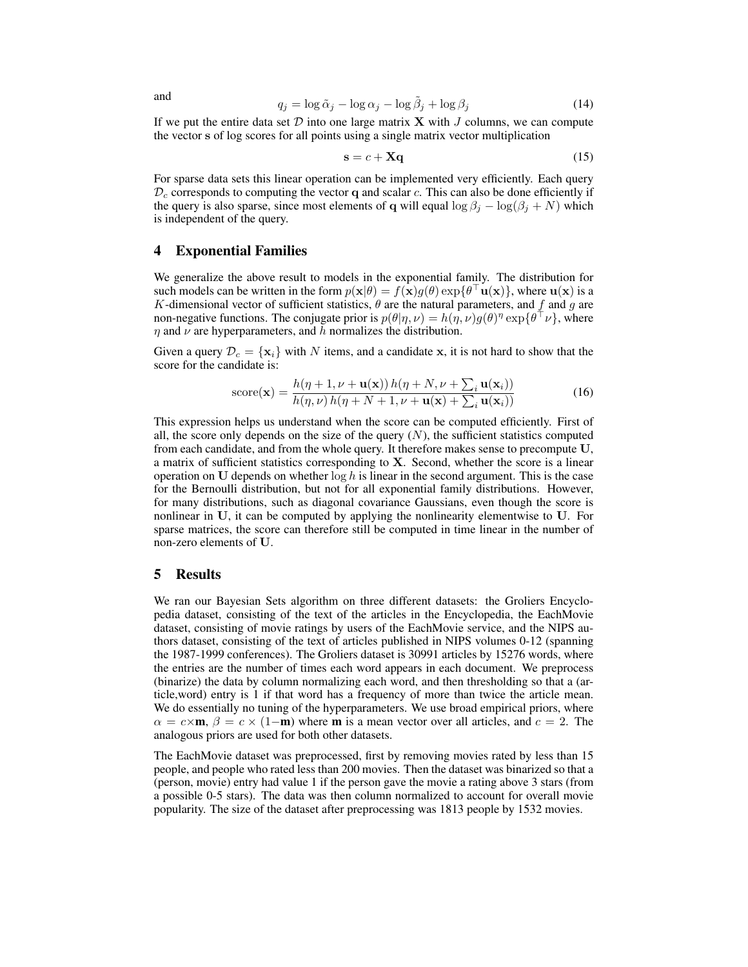$$
q_j = \log \tilde{\alpha}_j - \log \alpha_j - \log \tilde{\beta}_j + \log \beta_j \tag{14}
$$

If we put the entire data set  $D$  into one large matrix **X** with J columns, we can compute the vector s of log scores for all points using a single matrix vector multiplication

$$
\mathbf{s} = c + \mathbf{X}\mathbf{q} \tag{15}
$$

For sparse data sets this linear operation can be implemented very efficiently. Each query  $\mathcal{D}_c$  corresponds to computing the vector q and scalar c. This can also be done efficiently if the query is also sparse, since most elements of q will equal  $\log \beta_j - \log(\beta_j + N)$  which is independent of the query.

# 4 Exponential Families

We generalize the above result to models in the exponential family. The distribution for such models can be written in the form  $p(x|\theta) = f(x)g(\theta) \exp{\theta^\top \mathbf{u}(x)}$ , where  $\mathbf{u}(x)$  is a K-dimensional vector of sufficient statistics,  $\theta$  are the natural parameters, and f and g are non-negative functions. The conjugate prior is  $p(\theta|\eta,\nu) = h(\eta,\nu)g(\theta)^{\eta} \exp\{\theta^{\top}\nu\}$ , where  $\eta$  and  $\nu$  are hyperparameters, and h normalizes the distribution.

Given a query  $\mathcal{D}_c = \{x_i\}$  with N items, and a candidate x, it is not hard to show that the score for the candidate is:

$$
score(\mathbf{x}) = \frac{h(\eta + 1, \nu + \mathbf{u}(\mathbf{x})) h(\eta + N, \nu + \sum_{i} \mathbf{u}(\mathbf{x}_{i}))}{h(\eta, \nu) h(\eta + N + 1, \nu + \mathbf{u}(\mathbf{x}) + \sum_{i} \mathbf{u}(\mathbf{x}_{i}))}
$$
(16)

This expression helps us understand when the score can be computed efficiently. First of all, the score only depends on the size of the query  $(N)$ , the sufficient statistics computed from each candidate, and from the whole query. It therefore makes sense to precompute U, a matrix of sufficient statistics corresponding to  $X$ . Second, whether the score is a linear operation on U depends on whether  $\log h$  is linear in the second argument. This is the case for the Bernoulli distribution, but not for all exponential family distributions. However, for many distributions, such as diagonal covariance Gaussians, even though the score is nonlinear in U, it can be computed by applying the nonlinearity elementwise to U. For sparse matrices, the score can therefore still be computed in time linear in the number of non-zero elements of U.

#### 5 Results

We ran our Bayesian Sets algorithm on three different datasets: the Groliers Encyclopedia dataset, consisting of the text of the articles in the Encyclopedia, the EachMovie dataset, consisting of movie ratings by users of the EachMovie service, and the NIPS authors dataset, consisting of the text of articles published in NIPS volumes 0-12 (spanning the 1987-1999 conferences). The Groliers dataset is 30991 articles by 15276 words, where the entries are the number of times each word appears in each document. We preprocess (binarize) the data by column normalizing each word, and then thresholding so that a (article,word) entry is 1 if that word has a frequency of more than twice the article mean. We do essentially no tuning of the hyperparameters. We use broad empirical priors, where  $\alpha = c \times \mathbf{m}$ ,  $\beta = c \times (1-\mathbf{m})$  where **m** is a mean vector over all articles, and  $c = 2$ . The analogous priors are used for both other datasets.

The EachMovie dataset was preprocessed, first by removing movies rated by less than 15 people, and people who rated less than 200 movies. Then the dataset was binarized so that a (person, movie) entry had value 1 if the person gave the movie a rating above 3 stars (from a possible 0-5 stars). The data was then column normalized to account for overall movie popularity. The size of the dataset after preprocessing was 1813 people by 1532 movies.

and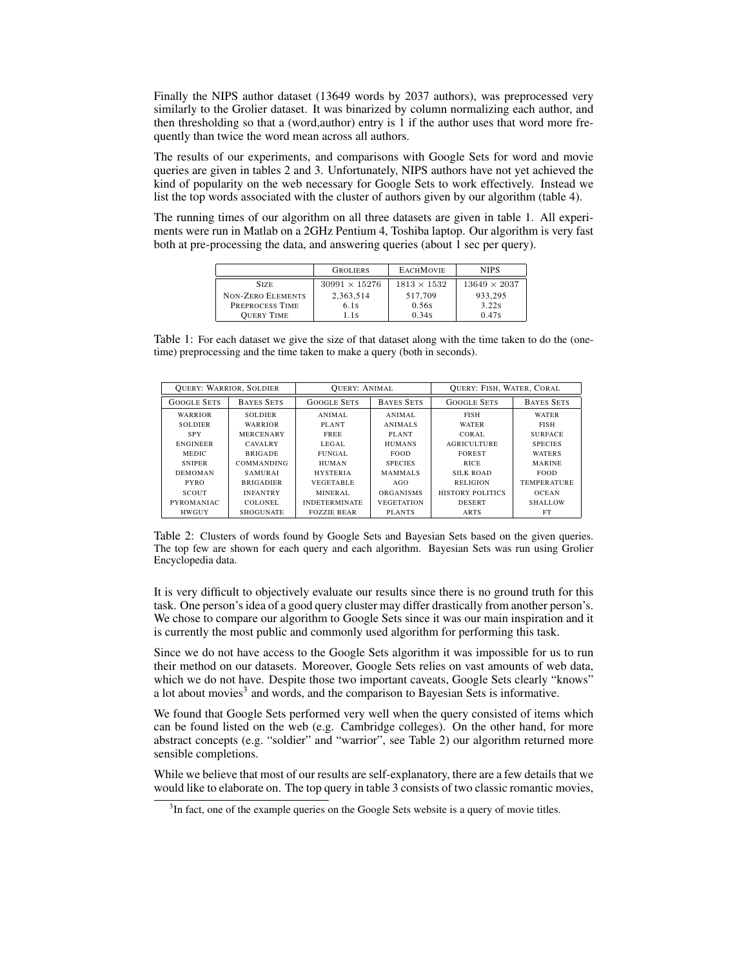Finally the NIPS author dataset (13649 words by 2037 authors), was preprocessed very similarly to the Grolier dataset. It was binarized by column normalizing each author, and then thresholding so that a (word,author) entry is 1 if the author uses that word more frequently than twice the word mean across all authors.

The results of our experiments, and comparisons with Google Sets for word and movie queries are given in tables 2 and 3. Unfortunately, NIPS authors have not yet achieved the kind of popularity on the web necessary for Google Sets to work effectively. Instead we list the top words associated with the cluster of authors given by our algorithm (table 4).

The running times of our algorithm on all three datasets are given in table 1. All experiments were run in Matlab on a 2GHz Pentium 4, Toshiba laptop. Our algorithm is very fast both at pre-processing the data, and answering queries (about 1 sec per query).

|                          | <b>GROLIERS</b>      | <b>EACHMOVIE</b>   | <b>NIPS</b>         |
|--------------------------|----------------------|--------------------|---------------------|
| <b>SIZE</b>              | $30991 \times 15276$ | $1813 \times 1532$ | $13649 \times 2037$ |
| <b>NON-ZERO ELEMENTS</b> | 2.363.514            | 517,709            | 933.295             |
| PREPROCESS TIME          | 6.1s                 | 0.56s              | 3.22s               |
| <b>OUERY TIME</b>        | 1.1s                 | 0.34s              | 0.47s               |

Table 1: For each dataset we give the size of that dataset along with the time taken to do the (onetime) preprocessing and the time taken to make a query (both in seconds).

|                    | <b>OUERY: WARRIOR, SOLDIER</b> |                      | <b>OUERY: ANIMAL</b> |                    | <b>OUERY: FISH, WATER, CORAL</b> |
|--------------------|--------------------------------|----------------------|----------------------|--------------------|----------------------------------|
| <b>GOOGLE SETS</b> | <b>BAYES SETS</b>              | <b>GOOGLE SETS</b>   | <b>BAYES SETS</b>    | <b>GOOGLE SETS</b> | <b>BAYES SETS</b>                |
| WARRIOR            | <b>SOLDIER</b>                 | ANIMAL.              | ANIMAL               | <b>FISH</b>        | <b>WATER</b>                     |
| <b>SOLDIER</b>     | WARRIOR                        | PLANT                | <b>ANIMALS</b>       | <b>WATER</b>       | <b>FISH</b>                      |
| <b>SPY</b>         | <b>MERCENARY</b>               | <b>FREE</b>          | PLANT                | CORAL.             | <b>SURFACE</b>                   |
| <b>ENGINEER</b>    | <b>CAVALRY</b>                 | LEGAL.               | <b>HUMANS</b>        | <b>AGRICULTURE</b> | <b>SPECIES</b>                   |
| <b>MEDIC</b>       | <b>BRIGADE</b>                 | FUNGAL.              | <b>FOOD</b>          | <b>FOREST</b>      | <b>WATERS</b>                    |
| <b>SNIPER</b>      | <b>COMMANDING</b>              | <b>HUMAN</b>         | <b>SPECIES</b>       | <b>RICE</b>        | <b>MARINE</b>                    |
| <b>DEMOMAN</b>     | <b>SAMURAL</b>                 | <b>HYSTERIA</b>      | <b>MAMMALS</b>       | <b>SILK ROAD</b>   | <b>FOOD</b>                      |
| <b>PYRO</b>        | <b>BRIGADIER</b>               | <b>VEGETABLE</b>     | AGO                  | RELIGION           | <b>TEMPER ATURE</b>              |
| SCOUT              | <b>INFANTRY</b>                | MINERAL              | <b>ORGANISMS</b>     | HISTORY POLITICS   | <b>OCEAN</b>                     |
| <b>PYROMANIAC</b>  | COLONEL.                       | <b>INDETERMINATE</b> | <b>VEGETATION</b>    | <b>DESERT</b>      | <b>SHALLOW</b>                   |
| <b>HWGUY</b>       | <b>SHOGUNATE</b>               | <b>FOZZIE BEAR</b>   | <b>PLANTS</b>        | ARTS               | FT                               |

Table 2: Clusters of words found by Google Sets and Bayesian Sets based on the given queries. The top few are shown for each query and each algorithm. Bayesian Sets was run using Grolier Encyclopedia data.

It is very difficult to objectively evaluate our results since there is no ground truth for this task. One person's idea of a good query cluster may differ drastically from another person's. We chose to compare our algorithm to Google Sets since it was our main inspiration and it is currently the most public and commonly used algorithm for performing this task.

Since we do not have access to the Google Sets algorithm it was impossible for us to run their method on our datasets. Moreover, Google Sets relies on vast amounts of web data, which we do not have. Despite those two important caveats, Google Sets clearly "knows" a lot about movies<sup>3</sup> and words, and the comparison to Bayesian Sets is informative.

We found that Google Sets performed very well when the query consisted of items which can be found listed on the web (e.g. Cambridge colleges). On the other hand, for more abstract concepts (e.g. "soldier" and "warrior", see Table 2) our algorithm returned more sensible completions.

While we believe that most of our results are self-explanatory, there are a few details that we would like to elaborate on. The top query in table 3 consists of two classic romantic movies,

 $3$ In fact, one of the example queries on the Google Sets website is a query of movie titles.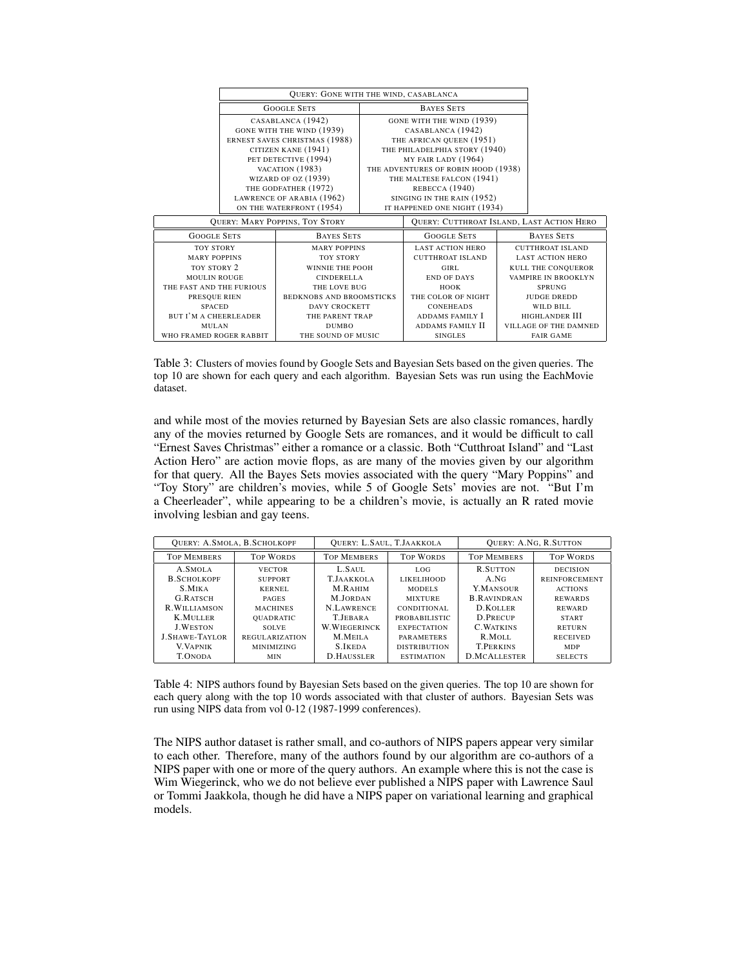|                                       | <b>QUERY: GONE WITH THE WIND, CASABLANCA</b>  |                                                  |  |                                     |                         |                              |
|---------------------------------------|-----------------------------------------------|--------------------------------------------------|--|-------------------------------------|-------------------------|------------------------------|
|                                       | <b>GOOGLE SETS</b>                            |                                                  |  | <b>BAYES SETS</b>                   |                         |                              |
|                                       |                                               | CASABLANCA (1942)                                |  | GONE WITH THE WIND (1939)           |                         |                              |
|                                       |                                               | GONE WITH THE WIND (1939)                        |  | CASABLANCA (1942)                   |                         |                              |
|                                       |                                               | ERNEST SAVES CHRISTMAS (1988)                    |  | THE AFRICAN QUEEN (1951)            |                         |                              |
|                                       |                                               | CITIZEN KANE (1941)                              |  | THE PHILADELPHIA STORY (1940)       |                         |                              |
|                                       |                                               | PET DETECTIVE (1994)                             |  | MY FAIR LADY (1964)                 |                         |                              |
|                                       |                                               | VACATION (1983)                                  |  | THE ADVENTURES OF ROBIN HOOD (1938) |                         |                              |
|                                       |                                               | WIZARD OF OZ (1939)                              |  | THE MALTESE FALCON (1941)           |                         |                              |
|                                       | THE GODFATHER (1972)                          |                                                  |  | REBECCA (1940)                      |                         |                              |
|                                       | LAWRENCE OF ARABIA (1962)                     |                                                  |  | SINGING IN THE RAIN (1952)          |                         |                              |
|                                       |                                               | ON THE WATERFRONT (1954)                         |  | IT HAPPENED ONE NIGHT (1934)        |                         |                              |
| <b>OUERY: MARY POPPINS, TOY STORY</b> |                                               | <b>QUERY: CUTTHROAT ISLAND, LAST ACTION HERO</b> |  |                                     |                         |                              |
| <b>GOOGLE SETS</b>                    | <b>BAYES SETS</b>                             |                                                  |  | <b>GOOGLE SETS</b>                  | <b>BAYES SETS</b>       |                              |
| <b>TOY STORY</b>                      |                                               | <b>MARY POPPINS</b>                              |  | <b>LAST ACTION HERO</b>             |                         | <b>CUTTHROAT ISLAND</b>      |
| <b>MARY POPPINS</b>                   |                                               | <b>TOY STORY</b>                                 |  | <b>CUTTHROAT ISLAND</b>             | <b>LAST ACTION HERO</b> |                              |
| TOY STORY 2                           |                                               | <b>WINNIE THE POOH</b>                           |  | GIRL                                |                         | KULL THE CONQUEROR           |
| <b>MOULIN ROUGE</b>                   |                                               | <b>CINDERELLA</b>                                |  | <b>END OF DAYS</b>                  |                         | VAMPIRE IN BROOKLYN          |
| THE FAST AND THE FURIOUS              |                                               | THE LOVE BUG                                     |  | <b>HOOK</b>                         |                         | <b>SPRUNG</b>                |
| PRESQUE RIEN                          |                                               | <b>BEDKNOBS AND BROOMSTICKS</b>                  |  | THE COLOR OF NIGHT                  |                         | <b>JUDGE DREDD</b>           |
| <b>SPACED</b>                         |                                               | <b>DAVY CROCKETT</b>                             |  | <b>CONEHEADS</b>                    |                         | WILD BILL                    |
| <b>BUT I'M A CHEERLEADER</b>          |                                               | THE PARENT TRAP                                  |  | ADDAMS FAMILY I                     |                         | HIGHLANDER III               |
| MULAN                                 |                                               | <b>DUMBO</b>                                     |  | ADDAMS FAMILY II                    |                         | <b>VILLAGE OF THE DAMNED</b> |
|                                       | WHO FRAMED ROGER RABBIT<br>THE SOUND OF MUSIC |                                                  |  | <b>SINGLES</b>                      |                         | <b>FAIR GAME</b>             |

Table 3: Clusters of movies found by Google Sets and Bayesian Sets based on the given queries. The top 10 are shown for each query and each algorithm. Bayesian Sets was run using the EachMovie dataset.

and while most of the movies returned by Bayesian Sets are also classic romances, hardly any of the movies returned by Google Sets are romances, and it would be difficult to call "Ernest Saves Christmas" either a romance or a classic. Both "Cutthroat Island" and "Last Action Hero" are action movie flops, as are many of the movies given by our algorithm for that query. All the Bayes Sets movies associated with the query "Mary Poppins" and "Toy Story" are children's movies, while 5 of Google Sets' movies are not. "But I'm a Cheerleader", while appearing to be a children's movie, is actually an R rated movie involving lesbian and gay teens.

|                                                                                                                  | <b>QUERY: A.SMOLA, B.SCHOLKOPF</b>                                                                               | QUERY: L.SAUL, T.JAAKKOLA                                                                                   |                                                                                                                           |                                                                                                         | <b>QUERY: A.NG, R.SUTTON</b>                                                                                                  |
|------------------------------------------------------------------------------------------------------------------|------------------------------------------------------------------------------------------------------------------|-------------------------------------------------------------------------------------------------------------|---------------------------------------------------------------------------------------------------------------------------|---------------------------------------------------------------------------------------------------------|-------------------------------------------------------------------------------------------------------------------------------|
| <b>TOP MEMBERS</b>                                                                                               | <b>TOP WORDS</b>                                                                                                 | <b>TOP MEMBERS</b>                                                                                          | <b>TOP WORDS</b>                                                                                                          | <b>TOP MEMBERS</b>                                                                                      | <b>TOP WORDS</b>                                                                                                              |
| A.SMOLA<br><b>B.SCHOLKOPF</b><br>S.MIKA<br><b>G.RATSCH</b><br><b>R.WILLIAMSON</b><br>K.MULLER<br><b>J.WESTON</b> | <b>VECTOR</b><br><b>SUPPORT</b><br>KERNEL<br><b>PAGES</b><br><b>MACHINES</b><br><b>OUADRATIC</b><br><b>SOLVE</b> | L.SAUL<br>T.JAAKKOLA<br>M.RAHIM<br><b>M.JORDAN</b><br>N.LAWRENCE<br><b>T.JEBARA</b><br><b>W. WIEGERINCK</b> | LOG.<br><b>LIKELIHOOD</b><br><b>MODELS</b><br><b>MIXTURE</b><br>CONDITIONAL<br><b>PROBABILISTIC</b><br><b>EXPECTATION</b> | R.SUTTON<br>A.NG<br>Y.MANSOUR<br><b>B.RAVINDRAN</b><br><b>D.KOLLER</b><br>D.PRECUP<br><b>C. WATKINS</b> | <b>DECISION</b><br><b>REINFORCEMENT</b><br><b>ACTIONS</b><br><b>REWARDS</b><br><b>REWARD</b><br><b>START</b><br><b>RETURN</b> |
| <b>J.SHAWE-TAYLOR</b><br><b>V. VAPNIK</b>                                                                        | REGULARIZATION<br><b>MINIMIZING</b>                                                                              | M.MEILA<br><b>S.IKEDA</b>                                                                                   | <b>PARAMETERS</b><br><b>DISTRIBUTION</b>                                                                                  | R.MOLL<br><b>T.PERKINS</b>                                                                              | <b>RECEIVED</b><br><b>MDP</b>                                                                                                 |
| <b>T.ONODA</b>                                                                                                   | <b>MIN</b>                                                                                                       | <b>D.HAUSSLER</b>                                                                                           | <b>ESTIMATION</b>                                                                                                         | <b>D.MCALLESTER</b>                                                                                     | <b>SELECTS</b>                                                                                                                |

Table 4: NIPS authors found by Bayesian Sets based on the given queries. The top 10 are shown for each query along with the top 10 words associated with that cluster of authors. Bayesian Sets was run using NIPS data from vol 0-12 (1987-1999 conferences).

The NIPS author dataset is rather small, and co-authors of NIPS papers appear very similar to each other. Therefore, many of the authors found by our algorithm are co-authors of a NIPS paper with one or more of the query authors. An example where this is not the case is Wim Wiegerinck, who we do not believe ever published a NIPS paper with Lawrence Saul or Tommi Jaakkola, though he did have a NIPS paper on variational learning and graphical models.